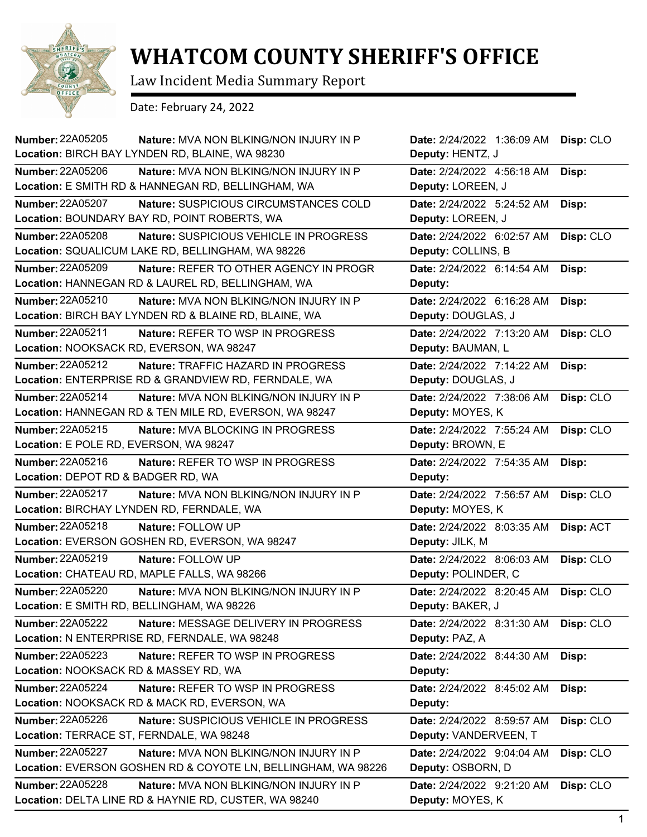

## **WHATCOM COUNTY SHERIFF'S OFFICE**

Law Incident Media Summary Report

Date: February 24, 2022

| <b>Number: 22A05205</b><br><b>Nature: MVA NON BLKING/NON INJURY IN P</b><br>Location: BIRCH BAY LYNDEN RD, BLAINE, WA 98230        | Date: 2/24/2022 1:36:09 AM<br>Deputy: HENTZ, J      | Disp: CLO |
|------------------------------------------------------------------------------------------------------------------------------------|-----------------------------------------------------|-----------|
| <b>Number: 22A05206</b><br><b>Nature: MVA NON BLKING/NON INJURY IN P</b><br>Location: E SMITH RD & HANNEGAN RD, BELLINGHAM, WA     | Date: 2/24/2022 4:56:18 AM<br>Deputy: LOREEN, J     | Disp:     |
| Number: 22A05207<br>Nature: SUSPICIOUS CIRCUMSTANCES COLD<br>Location: BOUNDARY BAY RD, POINT ROBERTS, WA                          | Date: 2/24/2022 5:24:52 AM<br>Deputy: LOREEN, J     | Disp:     |
| <b>Number: 22A05208</b><br>Nature: SUSPICIOUS VEHICLE IN PROGRESS<br>Location: SQUALICUM LAKE RD, BELLINGHAM, WA 98226             | Date: 2/24/2022 6:02:57 AM<br>Deputy: COLLINS, B    | Disp: CLO |
| <b>Number: 22A05209</b><br>Nature: REFER TO OTHER AGENCY IN PROGR<br>Location: HANNEGAN RD & LAUREL RD, BELLINGHAM, WA             | Date: 2/24/2022 6:14:54 AM<br>Deputy:               | Disp:     |
| Number: 22A05210<br>Nature: MVA NON BLKING/NON INJURY IN P<br>Location: BIRCH BAY LYNDEN RD & BLAINE RD, BLAINE, WA                | Date: 2/24/2022 6:16:28 AM<br>Deputy: DOUGLAS, J    | Disp:     |
| Number: 22A05211<br>Nature: REFER TO WSP IN PROGRESS<br>Location: NOOKSACK RD, EVERSON, WA 98247                                   | Date: 2/24/2022 7:13:20 AM<br>Deputy: BAUMAN, L     | Disp: CLO |
| Number: 22A05212<br>Nature: TRAFFIC HAZARD IN PROGRESS<br>Location: ENTERPRISE RD & GRANDVIEW RD, FERNDALE, WA                     | Date: 2/24/2022 7:14:22 AM<br>Deputy: DOUGLAS, J    | Disp:     |
| <b>Number: 22A05214</b><br><b>Nature: MVA NON BLKING/NON INJURY IN P</b><br>Location: HANNEGAN RD & TEN MILE RD, EVERSON, WA 98247 | Date: 2/24/2022 7:38:06 AM<br>Deputy: MOYES, K      | Disp: CLO |
| Number: 22A05215<br>Nature: MVA BLOCKING IN PROGRESS<br>Location: E POLE RD, EVERSON, WA 98247                                     | Date: 2/24/2022 7:55:24 AM<br>Deputy: BROWN, E      | Disp: CLO |
| Number: 22A05216<br><b>Nature: REFER TO WSP IN PROGRESS</b><br>Location: DEPOT RD & BADGER RD, WA                                  | Date: 2/24/2022 7:54:35 AM<br>Deputy:               | Disp:     |
| <b>Number: 22A05217</b><br>Nature: MVA NON BLKING/NON INJURY IN P<br>Location: BIRCHAY LYNDEN RD, FERNDALE, WA                     | Date: 2/24/2022 7:56:57 AM<br>Deputy: MOYES, K      | Disp: CLO |
| <b>Number: 22A05218</b><br>Nature: FOLLOW UP<br>Location: EVERSON GOSHEN RD, EVERSON, WA 98247                                     | Date: 2/24/2022 8:03:35 AM<br>Deputy: JILK, M       | Disp: ACT |
| Number: 22A05219<br>Nature: FOLLOW UP<br>Location: CHATEAU RD, MAPLE FALLS, WA 98266                                               | Date: 2/24/2022 8:06:03 AM<br>Deputy: POLINDER, C   | Disp: CLO |
| <b>Number: 22A05220</b><br>Nature: MVA NON BLKING/NON INJURY IN P<br>Location: E SMITH RD, BELLINGHAM, WA 98226                    | Date: 2/24/2022 8:20:45 AM<br>Deputy: BAKER, J      | Disp: CLO |
| <b>Number: 22A05222</b><br>Nature: MESSAGE DELIVERY IN PROGRESS<br>Location: N ENTERPRISE RD, FERNDALE, WA 98248                   | Date: 2/24/2022 8:31:30 AM<br>Deputy: PAZ, A        | Disp: CLO |
| <b>Number: 22A05223</b><br>Nature: REFER TO WSP IN PROGRESS<br>Location: NOOKSACK RD & MASSEY RD, WA                               | Date: 2/24/2022 8:44:30 AM<br>Deputy:               | Disp:     |
| <b>Number: 22A05224</b><br>Nature: REFER TO WSP IN PROGRESS<br>Location: NOOKSACK RD & MACK RD, EVERSON, WA                        | Date: 2/24/2022 8:45:02 AM<br>Deputy:               | Disp:     |
| <b>Number: 22A05226</b><br>Nature: SUSPICIOUS VEHICLE IN PROGRESS<br>Location: TERRACE ST, FERNDALE, WA 98248                      | Date: 2/24/2022 8:59:57 AM<br>Deputy: VANDERVEEN, T | Disp: CLO |
| <b>Number: 22A05227</b><br>Nature: MVA NON BLKING/NON INJURY IN P<br>Location: EVERSON GOSHEN RD & COYOTE LN, BELLINGHAM, WA 98226 | Date: 2/24/2022 9:04:04 AM<br>Deputy: OSBORN, D     | Disp: CLO |
| <b>Number: 22A05228</b><br>Nature: MVA NON BLKING/NON INJURY IN P<br>Location: DELTA LINE RD & HAYNIE RD, CUSTER, WA 98240         | Date: 2/24/2022 9:21:20 AM<br>Deputy: MOYES, K      | Disp: CLO |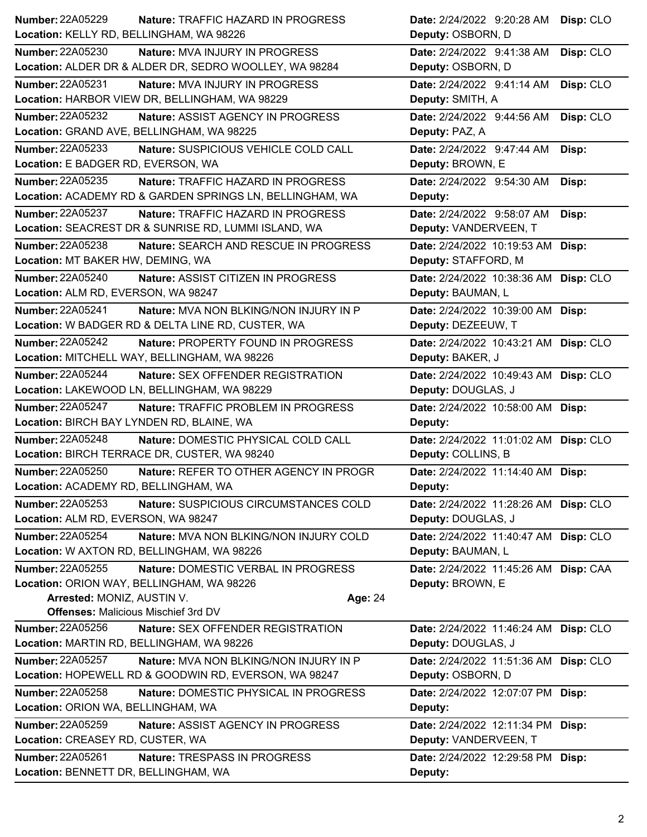| <b>Number: 22A05229</b>                                  | Nature: TRAFFIC HAZARD IN PROGRESS        | Date: 2/24/2022 9:20:28 AM            | Disp: CLO |
|----------------------------------------------------------|-------------------------------------------|---------------------------------------|-----------|
| Location: KELLY RD, BELLINGHAM, WA 98226                 |                                           | Deputy: OSBORN, D                     |           |
| <b>Number: 22A05230</b>                                  | Nature: MVA INJURY IN PROGRESS            | Date: 2/24/2022 9:41:38 AM            | Disp: CLO |
| Location: ALDER DR & ALDER DR, SEDRO WOOLLEY, WA 98284   |                                           | Deputy: OSBORN, D                     |           |
| Number: 22A05231                                         | <b>Nature: MVA INJURY IN PROGRESS</b>     | Date: 2/24/2022 9:41:14 AM            | Disp: CLO |
| Location: HARBOR VIEW DR, BELLINGHAM, WA 98229           |                                           | Deputy: SMITH, A                      |           |
| <b>Number: 22A05232</b>                                  | Nature: ASSIST AGENCY IN PROGRESS         | Date: 2/24/2022 9:44:56 AM            | Disp: CLO |
| Location: GRAND AVE, BELLINGHAM, WA 98225                |                                           | Deputy: PAZ, A                        |           |
| <b>Number: 22A05233</b>                                  | Nature: SUSPICIOUS VEHICLE COLD CALL      | Date: 2/24/2022 9:47:44 AM            | Disp:     |
| Location: E BADGER RD, EVERSON, WA                       |                                           | Deputy: BROWN, E                      |           |
| <b>Number: 22A05235</b>                                  | <b>Nature: TRAFFIC HAZARD IN PROGRESS</b> | Date: 2/24/2022 9:54:30 AM            | Disp:     |
| Location: ACADEMY RD & GARDEN SPRINGS LN, BELLINGHAM, WA |                                           | Deputy:                               |           |
| Number: 22A05237                                         | Nature: TRAFFIC HAZARD IN PROGRESS        | Date: 2/24/2022 9:58:07 AM            | Disp:     |
| Location: SEACREST DR & SUNRISE RD, LUMMI ISLAND, WA     |                                           | Deputy: VANDERVEEN, T                 |           |
| Number: 22A05238                                         | Nature: SEARCH AND RESCUE IN PROGRESS     | Date: 2/24/2022 10:19:53 AM           | Disp:     |
| Location: MT BAKER HW, DEMING, WA                        |                                           | Deputy: STAFFORD, M                   |           |
| <b>Number: 22A05240</b>                                  | Nature: ASSIST CITIZEN IN PROGRESS        | Date: 2/24/2022 10:38:36 AM Disp: CLO |           |
| Location: ALM RD, EVERSON, WA 98247                      |                                           | Deputy: BAUMAN, L                     |           |
| <b>Number: 22A05241</b>                                  | Nature: MVA NON BLKING/NON INJURY IN P    | Date: 2/24/2022 10:39:00 AM Disp:     |           |
| Location: W BADGER RD & DELTA LINE RD, CUSTER, WA        |                                           | Deputy: DEZEEUW, T                    |           |
| <b>Number: 22A05242</b>                                  | Nature: PROPERTY FOUND IN PROGRESS        | Date: 2/24/2022 10:43:21 AM Disp: CLO |           |
| Location: MITCHELL WAY, BELLINGHAM, WA 98226             |                                           | Deputy: BAKER, J                      |           |
| Number: 22A05244                                         | <b>Nature: SEX OFFENDER REGISTRATION</b>  | Date: 2/24/2022 10:49:43 AM           | Disp: CLO |
| Location: LAKEWOOD LN, BELLINGHAM, WA 98229              |                                           | Deputy: DOUGLAS, J                    |           |
| <b>Number: 22A05247</b>                                  | Nature: TRAFFIC PROBLEM IN PROGRESS       | Date: 2/24/2022 10:58:00 AM           | Disp:     |
|                                                          |                                           | Deputy:                               |           |
| Location: BIRCH BAY LYNDEN RD, BLAINE, WA                |                                           |                                       |           |
| <b>Number: 22A05248</b>                                  | Nature: DOMESTIC PHYSICAL COLD CALL       | Date: 2/24/2022 11:01:02 AM Disp: CLO |           |
| Location: BIRCH TERRACE DR, CUSTER, WA 98240             |                                           | Deputy: COLLINS, B                    |           |
| <b>Number: 22A05250</b>                                  | Nature: REFER TO OTHER AGENCY IN PROGR    | Date: 2/24/2022 11:14:40 AM Disp:     |           |
| Location: ACADEMY RD, BELLINGHAM, WA                     |                                           | Deputy:                               |           |
| Number: 22A05253                                         | Nature: SUSPICIOUS CIRCUMSTANCES COLD     | Date: 2/24/2022 11:28:26 AM Disp: CLO |           |
| Location: ALM RD, EVERSON, WA 98247                      |                                           | Deputy: DOUGLAS, J                    |           |
| <b>Number: 22A05254</b>                                  | Nature: MVA NON BLKING/NON INJURY COLD    | Date: 2/24/2022 11:40:47 AM Disp: CLO |           |
| Location: W AXTON RD, BELLINGHAM, WA 98226               |                                           | Deputy: BAUMAN, L                     |           |
| Number: 22A05255                                         | Nature: DOMESTIC VERBAL IN PROGRESS       | Date: 2/24/2022 11:45:26 AM Disp: CAA |           |
| Location: ORION WAY, BELLINGHAM, WA 98226                |                                           | Deputy: BROWN, E                      |           |
| Arrested: MONIZ, AUSTIN V.                               | Age: 24                                   |                                       |           |
| <b>Offenses: Malicious Mischief 3rd DV</b>               |                                           |                                       |           |
| Number: 22A05256                                         | Nature: SEX OFFENDER REGISTRATION         | Date: 2/24/2022 11:46:24 AM Disp: CLO |           |
| Location: MARTIN RD, BELLINGHAM, WA 98226                |                                           | Deputy: DOUGLAS, J                    |           |
| <b>Number: 22A05257</b>                                  | Nature: MVA NON BLKING/NON INJURY IN P    | Date: 2/24/2022 11:51:36 AM Disp: CLO |           |
| Location: HOPEWELL RD & GOODWIN RD, EVERSON, WA 98247    |                                           | Deputy: OSBORN, D                     |           |
| <b>Number: 22A05258</b>                                  | Nature: DOMESTIC PHYSICAL IN PROGRESS     | Date: 2/24/2022 12:07:07 PM           | Disp:     |
| Location: ORION WA, BELLINGHAM, WA                       |                                           | Deputy:                               |           |
| <b>Number: 22A05259</b>                                  | Nature: ASSIST AGENCY IN PROGRESS         | Date: 2/24/2022 12:11:34 PM           | Disp:     |
| Location: CREASEY RD, CUSTER, WA                         |                                           | Deputy: VANDERVEEN, T                 |           |
| <b>Number: 22A05261</b>                                  | <b>Nature: TRESPASS IN PROGRESS</b>       | Date: 2/24/2022 12:29:58 PM Disp:     |           |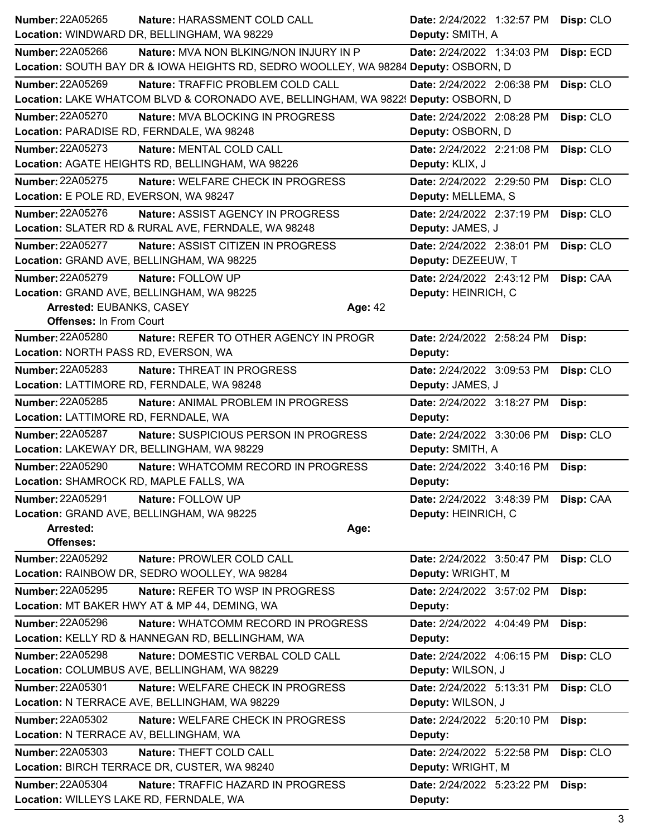| <b>Number: 22A05265</b>                       | Nature: HARASSMENT COLD CALL                                                        |                | Date: 2/24/2022 1:32:57 PM           | Disp: CLO |
|-----------------------------------------------|-------------------------------------------------------------------------------------|----------------|--------------------------------------|-----------|
| Location: WINDWARD DR, BELLINGHAM, WA 98229   |                                                                                     |                | Deputy: SMITH, A                     |           |
| <b>Number: 22A05266</b>                       | <b>Nature: MVA NON BLKING/NON INJURY IN P</b>                                       |                | Date: 2/24/2022 1:34:03 PM           | Disp: ECD |
|                                               | Location: SOUTH BAY DR & IOWA HEIGHTS RD, SEDRO WOOLLEY, WA 98284 Deputy: OSBORN, D |                |                                      |           |
| Number: 22A05269                              | Nature: TRAFFIC PROBLEM COLD CALL                                                   |                | Date: 2/24/2022 2:06:38 PM           | Disp: CLO |
|                                               | Location: LAKE WHATCOM BLVD & CORONADO AVE, BELLINGHAM, WA 9822! Deputy: OSBORN, D  |                |                                      |           |
| <b>Number: 22A05270</b>                       | Nature: MVA BLOCKING IN PROGRESS                                                    |                | Date: 2/24/2022 2:08:28 PM           | Disp: CLO |
| Location: PARADISE RD, FERNDALE, WA 98248     |                                                                                     |                | Deputy: OSBORN, D                    |           |
| <b>Number: 22A05273</b>                       | Nature: MENTAL COLD CALL                                                            |                | Date: 2/24/2022 2:21:08 PM           | Disp: CLO |
|                                               | Location: AGATE HEIGHTS RD, BELLINGHAM, WA 98226                                    |                | Deputy: KLIX, J                      |           |
| Number: 22A05275                              | Nature: WELFARE CHECK IN PROGRESS                                                   |                | Date: 2/24/2022 2:29:50 PM           | Disp: CLO |
| Location: E POLE RD, EVERSON, WA 98247        |                                                                                     |                | Deputy: MELLEMA, S                   |           |
| <b>Number: 22A05276</b>                       | <b>Nature: ASSIST AGENCY IN PROGRESS</b>                                            |                | Date: 2/24/2022 2:37:19 PM           | Disp: CLO |
|                                               | Location: SLATER RD & RURAL AVE, FERNDALE, WA 98248                                 |                | Deputy: JAMES, J                     |           |
| <b>Number: 22A05277</b>                       | Nature: ASSIST CITIZEN IN PROGRESS                                                  |                | Date: 2/24/2022 2:38:01 PM           | Disp: CLO |
| Location: GRAND AVE, BELLINGHAM, WA 98225     |                                                                                     |                | Deputy: DEZEEUW, T                   |           |
| <b>Number: 22A05279</b>                       | Nature: FOLLOW UP                                                                   |                | Date: 2/24/2022 2:43:12 PM           | Disp: CAA |
| Location: GRAND AVE, BELLINGHAM, WA 98225     |                                                                                     |                | Deputy: HEINRICH, C                  |           |
| Arrested: EUBANKS, CASEY                      |                                                                                     | <b>Age: 42</b> |                                      |           |
| <b>Offenses: In From Court</b>                |                                                                                     |                |                                      |           |
| <b>Number: 22A05280</b>                       | Nature: REFER TO OTHER AGENCY IN PROGR                                              |                | Date: 2/24/2022 2:58:24 PM           | Disp:     |
| Location: NORTH PASS RD, EVERSON, WA          |                                                                                     |                | Deputy:                              |           |
| Number: 22A05283                              | <b>Nature: THREAT IN PROGRESS</b>                                                   |                | Date: 2/24/2022 3:09:53 PM           | Disp: CLO |
| Location: LATTIMORE RD, FERNDALE, WA 98248    |                                                                                     |                | Deputy: JAMES, J                     |           |
| Number: 22A05285                              | Nature: ANIMAL PROBLEM IN PROGRESS                                                  |                | Date: 2/24/2022 3:18:27 PM           | Disp:     |
| Location: LATTIMORE RD, FERNDALE, WA          |                                                                                     |                | Deputy:                              |           |
| Number: 22A05287                              | Nature: SUSPICIOUS PERSON IN PROGRESS                                               |                | Date: 2/24/2022 3:30:06 PM           | Disp: CLO |
| Location: LAKEWAY DR, BELLINGHAM, WA 98229    |                                                                                     |                | Deputy: SMITH, A                     |           |
| Number: 22A05290                              | Nature: WHATCOMM RECORD IN PROGRESS                                                 |                | Date: 2/24/2022 3:40:16 PM           | Disp:     |
| Location: SHAMROCK RD, MAPLE FALLS, WA        |                                                                                     |                | Deputy:                              |           |
| <b>Number: 22A05291</b>                       | Nature: FOLLOW UP                                                                   |                | Date: 2/24/2022 3:48:39 PM Disp: CAA |           |
| Location: GRAND AVE, BELLINGHAM, WA 98225     |                                                                                     |                | Deputy: HEINRICH, C                  |           |
| Arrested:                                     | Age:                                                                                |                |                                      |           |
| <b>Offenses:</b>                              |                                                                                     |                |                                      |           |
| Number: 22A05292                              | Nature: PROWLER COLD CALL                                                           |                | Date: 2/24/2022 3:50:47 PM           | Disp: CLO |
|                                               | Location: RAINBOW DR, SEDRO WOOLLEY, WA 98284                                       |                | Deputy: WRIGHT, M                    |           |
| Number: 22A05295                              | Nature: REFER TO WSP IN PROGRESS                                                    |                | Date: 2/24/2022 3:57:02 PM           | Disp:     |
| Location: MT BAKER HWY AT & MP 44, DEMING, WA |                                                                                     |                | Deputy:                              |           |
| Number: 22A05296                              | Nature: WHATCOMM RECORD IN PROGRESS                                                 |                | Date: 2/24/2022 4:04:49 PM           | Disp:     |
|                                               | Location: KELLY RD & HANNEGAN RD, BELLINGHAM, WA                                    |                | Deputy:                              |           |
| <b>Number: 22A05298</b>                       | Nature: DOMESTIC VERBAL COLD CALL                                                   |                | Date: 2/24/2022 4:06:15 PM           | Disp: CLO |
| Location: COLUMBUS AVE, BELLINGHAM, WA 98229  |                                                                                     |                | Deputy: WILSON, J                    |           |
| Number: 22A05301                              | Nature: WELFARE CHECK IN PROGRESS                                                   |                | Date: 2/24/2022 5:13:31 PM           | Disp: CLO |
| Location: N TERRACE AVE, BELLINGHAM, WA 98229 |                                                                                     |                | Deputy: WILSON, J                    |           |
| <b>Number: 22A05302</b>                       | Nature: WELFARE CHECK IN PROGRESS                                                   |                | Date: 2/24/2022 5:20:10 PM           | Disp:     |
| Location: N TERRACE AV, BELLINGHAM, WA        |                                                                                     |                | Deputy:                              |           |
| <b>Number: 22A05303</b>                       | Nature: THEFT COLD CALL                                                             |                | Date: 2/24/2022 5:22:58 PM           | Disp: CLO |
| Location: BIRCH TERRACE DR, CUSTER, WA 98240  |                                                                                     |                | Deputy: WRIGHT, M                    |           |
| Number: 22A05304                              | Nature: TRAFFIC HAZARD IN PROGRESS                                                  |                | Date: 2/24/2022 5:23:22 PM           | Disp:     |
| Location: WILLEYS LAKE RD, FERNDALE, WA       |                                                                                     |                | Deputy:                              |           |
|                                               |                                                                                     |                |                                      |           |